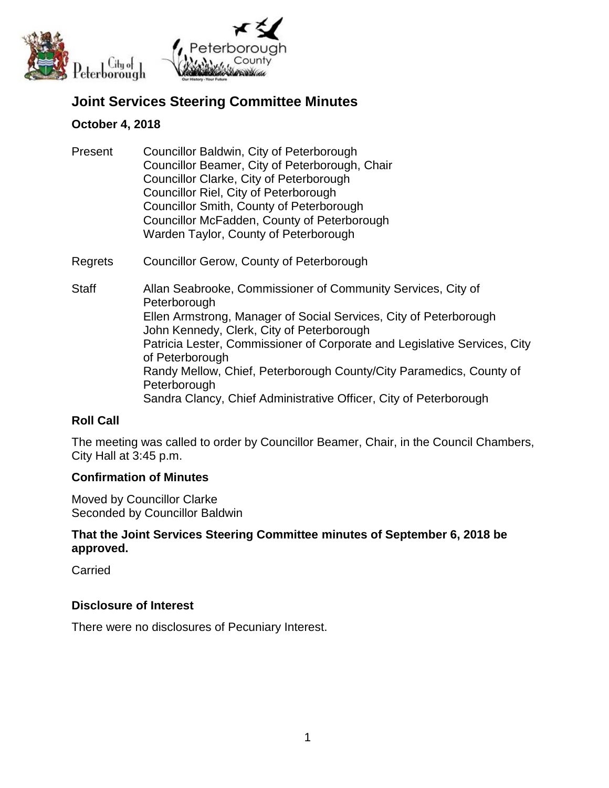

# **Joint Services Steering Committee Minutes**

### **October 4, 2018**

| Present | Councillor Baldwin, City of Peterborough       |
|---------|------------------------------------------------|
|         | Councillor Beamer, City of Peterborough, Chair |
|         | Councillor Clarke, City of Peterborough        |
|         | Councillor Riel, City of Peterborough          |
|         | Councillor Smith, County of Peterborough       |
|         | Councillor McFadden, County of Peterborough    |
|         | Warden Taylor, County of Peterborough          |
|         |                                                |

- Regrets Councillor Gerow, County of Peterborough
- Staff Allan Seabrooke, Commissioner of Community Services, City of **Peterborough** Ellen Armstrong, Manager of Social Services, City of Peterborough John Kennedy, Clerk, City of Peterborough Patricia Lester, Commissioner of Corporate and Legislative Services, City of Peterborough Randy Mellow, Chief, Peterborough County/City Paramedics, County of **Peterborough** Sandra Clancy, Chief Administrative Officer, City of Peterborough

# **Roll Call**

The meeting was called to order by Councillor Beamer, Chair, in the Council Chambers, City Hall at 3:45 p.m.

#### **Confirmation of Minutes**

Moved by Councillor Clarke Seconded by Councillor Baldwin

# **That the Joint Services Steering Committee minutes of September 6, 2018 be approved.**

Carried

#### **Disclosure of Interest**

There were no disclosures of Pecuniary Interest.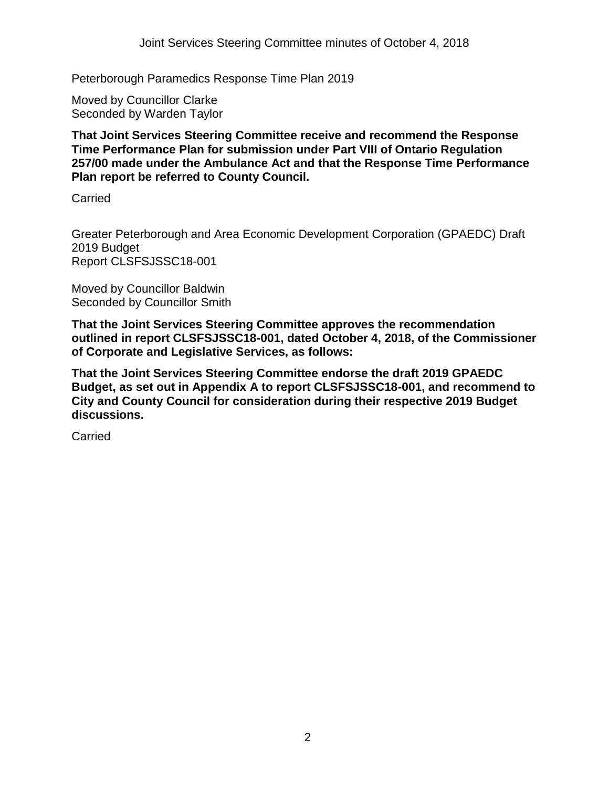Peterborough Paramedics Response Time Plan 2019

Moved by Councillor Clarke Seconded by Warden Taylor

**That Joint Services Steering Committee receive and recommend the Response Time Performance Plan for submission under Part VIII of Ontario Regulation 257/00 made under the Ambulance Act and that the Response Time Performance Plan report be referred to County Council.**

Carried

Greater Peterborough and Area Economic Development Corporation (GPAEDC) Draft 2019 Budget Report CLSFSJSSC18-001

Moved by Councillor Baldwin Seconded by Councillor Smith

**That the Joint Services Steering Committee approves the recommendation outlined in report CLSFSJSSC18-001, dated October 4, 2018, of the Commissioner of Corporate and Legislative Services, as follows:**

**That the Joint Services Steering Committee endorse the draft 2019 GPAEDC Budget, as set out in Appendix A to report CLSFSJSSC18-001, and recommend to City and County Council for consideration during their respective 2019 Budget discussions.**

**Carried**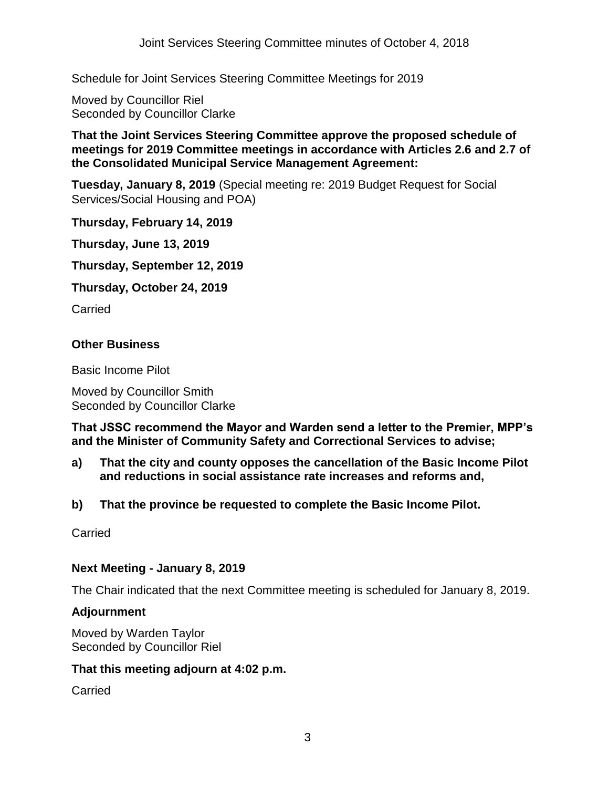Schedule for Joint Services Steering Committee Meetings for 2019

Moved by Councillor Riel Seconded by Councillor Clarke

#### **That the Joint Services Steering Committee approve the proposed schedule of meetings for 2019 Committee meetings in accordance with Articles 2.6 and 2.7 of the Consolidated Municipal Service Management Agreement:**

**Tuesday, January 8, 2019** (Special meeting re: 2019 Budget Request for Social Services/Social Housing and POA)

**Thursday, February 14, 2019**

**Thursday, June 13, 2019**

**Thursday, September 12, 2019**

**Thursday, October 24, 2019**

**Carried** 

# **Other Business**

Basic Income Pilot

Moved by Councillor Smith Seconded by Councillor Clarke

**That JSSC recommend the Mayor and Warden send a letter to the Premier, MPP's and the Minister of Community Safety and Correctional Services to advise;**

- **a) That the city and county opposes the cancellation of the Basic Income Pilot and reductions in social assistance rate increases and reforms and,**
- **b) That the province be requested to complete the Basic Income Pilot.**

**Carried** 

#### **Next Meeting - January 8, 2019**

The Chair indicated that the next Committee meeting is scheduled for January 8, 2019.

#### **Adjournment**

Moved by Warden Taylor Seconded by Councillor Riel

#### **That this meeting adjourn at 4:02 p.m.**

**Carried**